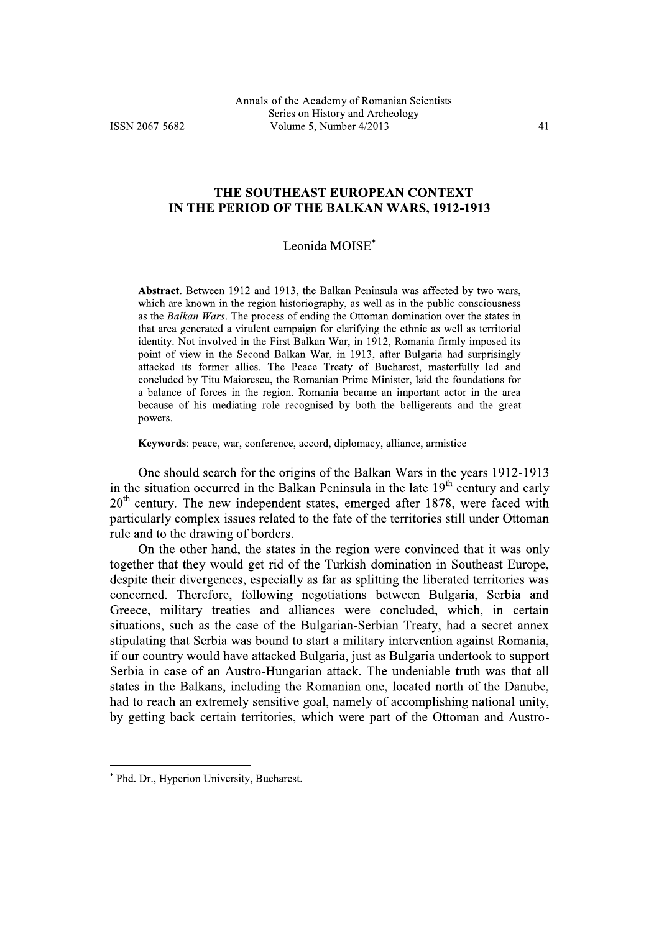## THE SOUTHEAST EUROPEAN CONTEXT IN THE PERIOD OF THE BALKAN WARS, 1912-1913

## Leonida MOISE\*

Abstract. Between 1912 and 1913, the Balkan Peninsula was affected by two wars, which are known in the region historiography, as well as in the public consciousness as the Balkan Wars. The process of ending the Ottoman domination over the states in that area generated a virulent campaign for clarifying the ethnic as well as territorial identity. Not involved in the First Balkan War, in 1912, Romania firmly imposed its point of view in the Second Balkan War, in 1913, after Bulgaria had surprisingly attacked its former allies. The Peace Treaty of Bucharest, masterfully led and concluded by Titu Maiorescu, the Romanian Prime Minister, laid the foundations for a balance of forces in the region. Romania became an important actor in the area because of his mediating role recognised by both the belligerents and the great powers.

Keywords: peace, war, conference, accord, diplomacy, alliance, armistice

One should search for the origins of the Balkan Wars in the years 1912-1913 in the situation occurred in the Balkan Peninsula in the late  $19<sup>th</sup>$  century and early  $20<sup>th</sup>$  century. The new independent states, emerged after 1878, were faced with particularly complex issues related to the fate of the territories still under Ottoman rule and to the drawing of borders.

On the other hand, the states in the region were convinced that it was only together that they would get rid of the Turkish domination in Southeast Europe, despite their divergences, especially as far as splitting the liberated territories was concerned. Therefore, following negotiations between Bulgaria, Serbia and Greece, military treaties and alliances were concluded, which, in certain situations, such as the case of the Bulgarian-Serbian Treaty, had a secret annex stipulating that Serbia was bound to start a military intervention against Romania, if our country would have attacked Bulgaria, just as Bulgaria undertook to support Serbia in case of an Austro-Hungarian attack. The undeniable truth was that all states in the Balkans, including the Romanian one, located north of the Danube, had to reach an extremely sensitive goal, namely of accomplishing national unity, by getting back certain territories, which were part of the Ottoman and Austro-

<sup>\*</sup> Phd. Dr., Hyperion University, Bucharest.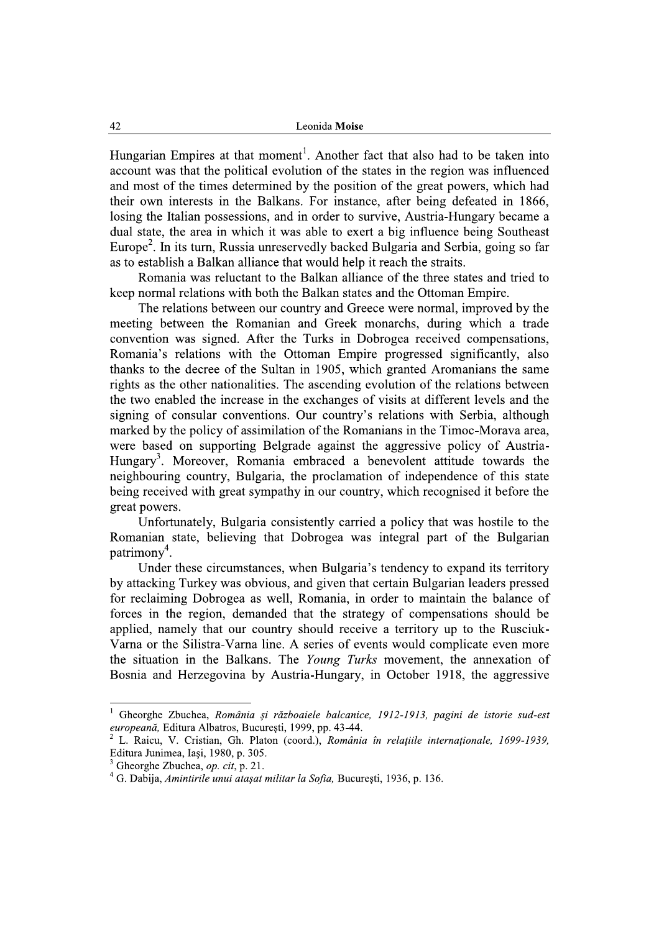Hungarian Empires at that moment<sup>1</sup>. Another fact that also had to be taken into account was that the political evolution of the states in the region was influenced and most of the times determined by the position of the great powers, which had their own interests in the Balkans. For instance, after being defeated in 1866. losing the Italian possessions, and in order to survive, Austria-Hungary became a dual state, the area in which it was able to exert a big influence being Southeast Europe<sup>2</sup>. In its turn, Russia unreservedly backed Bulgaria and Serbia, going so far as to establish a Balkan alliance that would help it reach the straits.

Romania was reluctant to the Balkan alliance of the three states and tried to keep normal relations with both the Balkan states and the Ottoman Empire.

The relations between our country and Greece were normal, improved by the meeting between the Romanian and Greek monarchs, during which a trade convention was signed. After the Turks in Dobrogea received compensations, Romania's relations with the Ottoman Empire progressed significantly, also thanks to the decree of the Sultan in 1905, which granted Aromanians the same rights as the other nationalities. The ascending evolution of the relations between the two enabled the increase in the exchanges of visits at different levels and the signing of consular conventions. Our country's relations with Serbia, although marked by the policy of assimilation of the Romanians in the Timoc-Morava area, were based on supporting Belgrade against the aggressive policy of Austria-Hungary<sup>3</sup>. Moreover, Romania embraced a benevolent attitude towards the neighbouring country, Bulgaria, the proclamation of independence of this state being received with great sympathy in our country, which recognised it before the great powers.

Unfortunately, Bulgaria consistently carried a policy that was hostile to the Romanian state, believing that Dobrogea was integral part of the Bulgarian  $\text{patrimon}v^4$ .

Under these circumstances, when Bulgaria's tendency to expand its territory by attacking Turkey was obvious, and given that certain Bulgarian leaders pressed for reclaiming Dobrogea as well, Romania, in order to maintain the balance of forces in the region, demanded that the strategy of compensations should be applied, namely that our country should receive a territory up to the Rusciuk-Varna or the Silistra-Varna line. A series of events would complicate even more the situation in the Balkans. The Young Turks movement, the annexation of Bosnia and Herzegovina by Austria-Hungary, in October 1918, the aggressive

 $\,$  I Gheorghe Zbuchea, România și războaiele balcanice, 1912-1913, pagini de istorie sud-est europeană, Editura Albatros, București, 1999, pp. 43-44.

L. Raicu, V. Cristian, Gh. Platon (coord.), România în relațiile internaționale, 1699-1939, Editura Junimea, Iași, 1980, p. 305.

Gheorghe Zbuchea, op. cit, p. 21.

<sup>&</sup>lt;sup>4</sup> G. Dabija, Amintirile unui ataşat militar la Sofia, București, 1936, p. 136.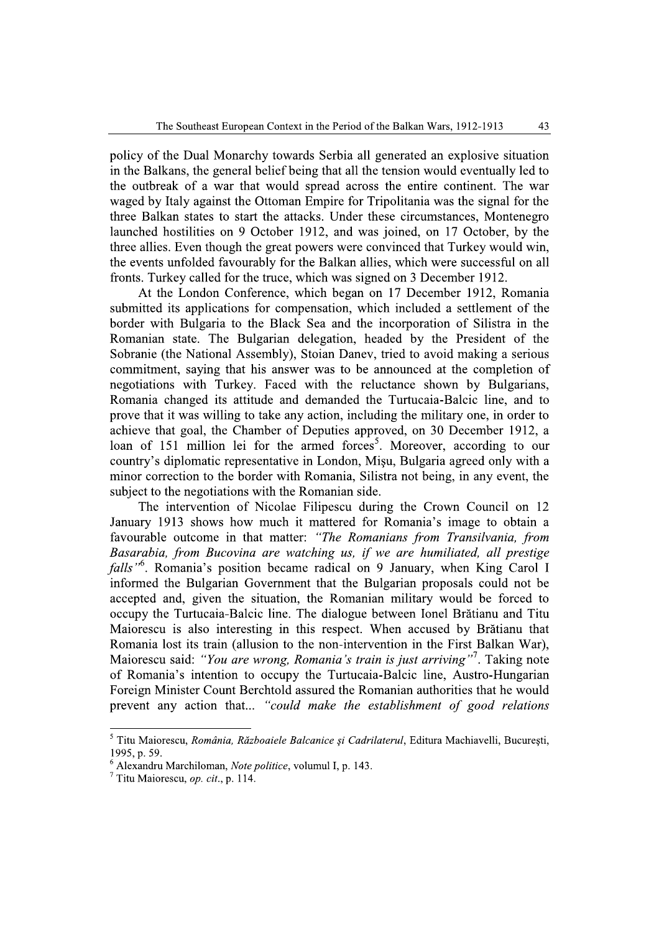policy of the Dual Monarchy towards Serbia all generated an explosive situation in the Balkans, the general belief being that all the tension would eventually led to the outbreak of a war that would spread across the entire continent. The war waged by Italy against the Ottoman Empire for Tripolitania was the signal for the three Balkan states to start the attacks. Under these circumstances, Montenegro launched hostilities on 9 October 1912, and was joined, on 17 October, by the three allies. Even though the great powers were convinced that Turkey would win, the events unfolded favourably for the Balkan allies, which were successful on all fronts. Turkey called for the truce, which was signed on 3 December 1912.

At the London Conference, which began on 17 December 1912, Romania submitted its applications for compensation, which included a settlement of the border with Bulgaria to the Black Sea and the incorporation of Silistra in the Romanian state. The Bulgarian delegation, headed by the President of the Sobranie (the National Assembly), Stoian Daney, tried to avoid making a serious commitment, saying that his answer was to be announced at the completion of negotiations with Turkey. Faced with the reluctance shown by Bulgarians, Romania changed its attitude and demanded the Turtucaia-Balcic line, and to prove that it was willing to take any action, including the military one, in order to achieve that goal, the Chamber of Deputies approved, on 30 December 1912, a loan of 151 million lei for the armed forces<sup>5</sup>. Moreover, according to our country's diplomatic representative in London, Misu, Bulgaria agreed only with a minor correction to the border with Romania, Silistra not being, in any event, the subject to the negotiations with the Romanian side.

The intervention of Nicolae Filipescu during the Crown Council on 12 January 1913 shows how much it mattered for Romania's image to obtain a favourable outcome in that matter: "The Romanians from Transilvania, from Basarabia, from Bucovina are watching us, if we are humiliated, all prestige *falls*<sup>16</sup>. Romania's position became radical on 9 January, when King Carol I informed the Bulgarian Government that the Bulgarian proposals could not be accepted and, given the situation, the Romanian military would be forced to occupy the Turtucaia-Balcic line. The dialogue between Ionel Brătianu and Titu Maiorescu is also interesting in this respect. When accused by Brătianu that Romania lost its train (allusion to the non-intervention in the First Balkan War), Maiorescu said: "You are wrong, Romania's train is just arriving"<sup>7</sup>. Taking note of Romania's intention to occupy the Turtucaia-Balcic line, Austro-Hungarian Foreign Minister Count Berchtold assured the Romanian authorities that he would prevent any action that... "could make the establishment of good relations"

<sup>&</sup>lt;sup>5</sup> Titu Maiorescu, România, Războaiele Balcanice și Cadrilaterul, Editura Machiavelli, București, 1995. p. 59.

<sup>&</sup>lt;sup>6</sup> Alexandru Marchiloman, Note politice, volumul I, p. 143.

 $^7$  Titu Maiorescu, *op. cit.*, p. 114.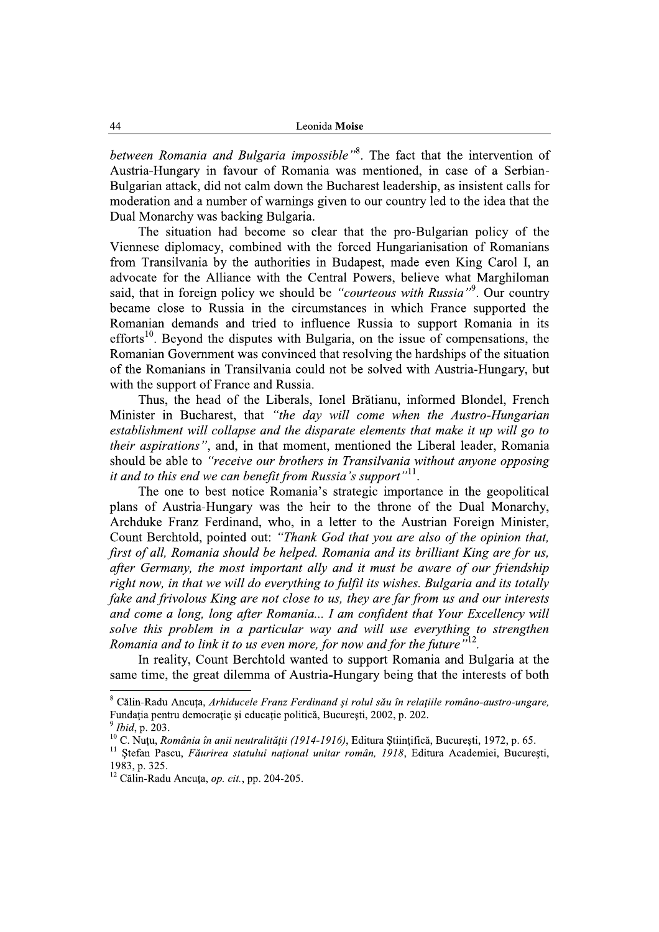**Example 12**<br> **Example 20**<br> **Example 20**<br> **Example 20**<br> **Example 20**<br> **Example 20**<br> **Example 20**<br> **Example 20**<br> **Example 20**<br> **Example 20**<br> **Example 20**<br> **Example 20**<br> **Example 20**<br> **Example 20**<br> **Example 20**<br> **Example 20** said, that in foreign policy we should be "*courteous with Russia*". Our country<br>became close to Russia in the circumstances in which France supported the<br>Romanian demands and tried to influence Russia to support Romanian

*their aspirations*", and, in that moment, mentioned the Liberal leader, Romania should be able to "receive our brothers in Transilvania without anyone opposing it and to this end we can benefit from Russia's support<sup> $n!1$ </sup>.<br>The one to best notice Romania's strategic importance in the geopolitical

with the support of France and Rassia, lonel Brittianu, informed Blondel, French<br>
Thus, the head of the Liberals, tonel Brittianu, informed Blondel, French<br>
Minister in Bucharast, that "the day will come when the Autoto-H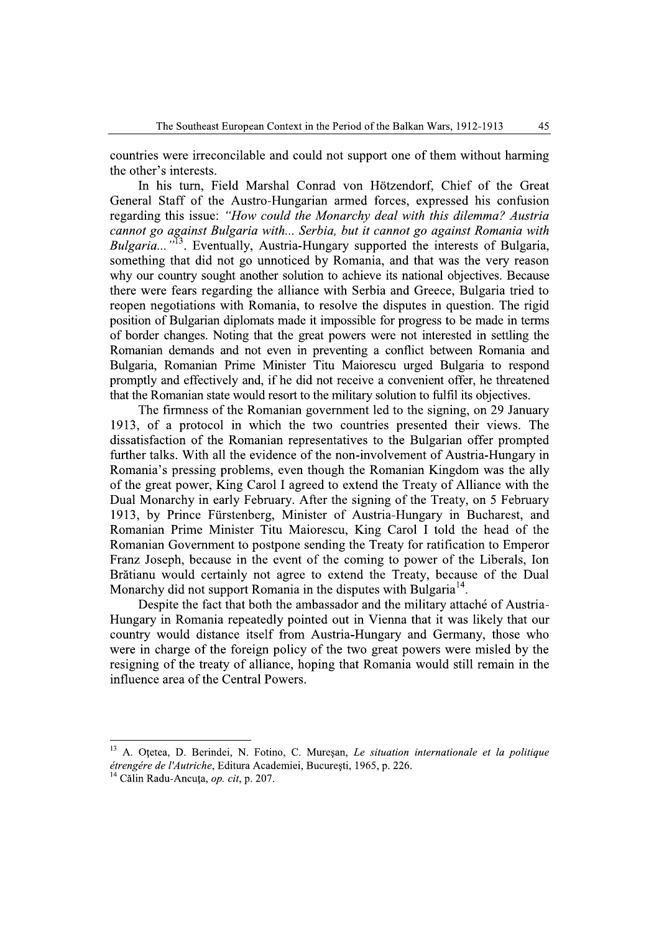countries were irreconcilable and could not support one of them without harming the other's interests.

In his turn, Field Marshal Conrad von Hötzendorf, Chief of the Great General Staff of the Austro-Hungarian armed forces, expressed his confusion regarding this issue: "How could the Monarchy deal with this dilemma? Austria cannot go against Bulgaria with... Serbia, but it cannot go against Romania with Bulgaria...<sup>"13</sup>. Eventually, Austria-Hungary supported the interests of Bulgaria, something that did not go unnoticed by Romania, and that was the very reason why our country sought another solution to achieve its national objectives. Because there were fears regarding the alliance with Serbia and Greece, Bulgaria tried to reopen negotiations with Romania, to resolve the disputes in question. The rigid position of Bulgarian diplomats made it impossible for progress to be made in terms of border changes. Noting that the great powers were not interested in settling the Romanian demands and not even in preventing a conflict between Romania and Bulgaria, Romanian Prime Minister Titu Maiorescu urged Bulgaria to respond promptly and effectively and, if he did not receive a convenient offer, he threatened that the Romanian state would resort to the military solution to fulfil its objectives.

The firmness of the Romanian government led to the signing, on 29 January 1913, of a protocol in which the two countries presented their views. The dissatisfaction of the Romanian representatives to the Bulgarian offer prompted further talks. With all the evidence of the non-involvement of Austria-Hungary in Romania's pressing problems, even though the Romanian Kingdom was the ally of the great power, King Carol I agreed to extend the Treaty of Alliance with the Dual Monarchy in early February. After the signing of the Treaty, on 5 February 1913, by Prince Fürstenberg, Minister of Austria-Hungary in Bucharest, and Romanian Prime Minister Titu Maiorescu, King Carol I told the head of the Romanian Government to postpone sending the Treaty for ratification to Emperor Franz Joseph, because in the event of the coming to power of the Liberals, Ion Brătianu would certainly not agree to extend the Treaty, because of the Dual Monarchy did not support Romania in the disputes with Bulgaria<sup>14</sup>.

Despite the fact that both the ambassador and the military attaché of Austria-Hungary in Romania repeatedly pointed out in Vienna that it was likely that our country would distance itself from Austria-Hungary and Germany, those who were in charge of the foreign policy of the two great powers were misled by the resigning of the treaty of alliance, hoping that Romania would still remain in the influence area of the Central Powers.

<sup>13</sup> A. Otetea, D. Berindei, N. Fotino, C. Mureșan, Le situation internationale et la politique étrengére de l'Autriche, Editura Academiei, București, 1965, p. 226.

<sup>&</sup>lt;sup>14</sup> Călin Radu-Ancuta, *op. cit*, p. 207.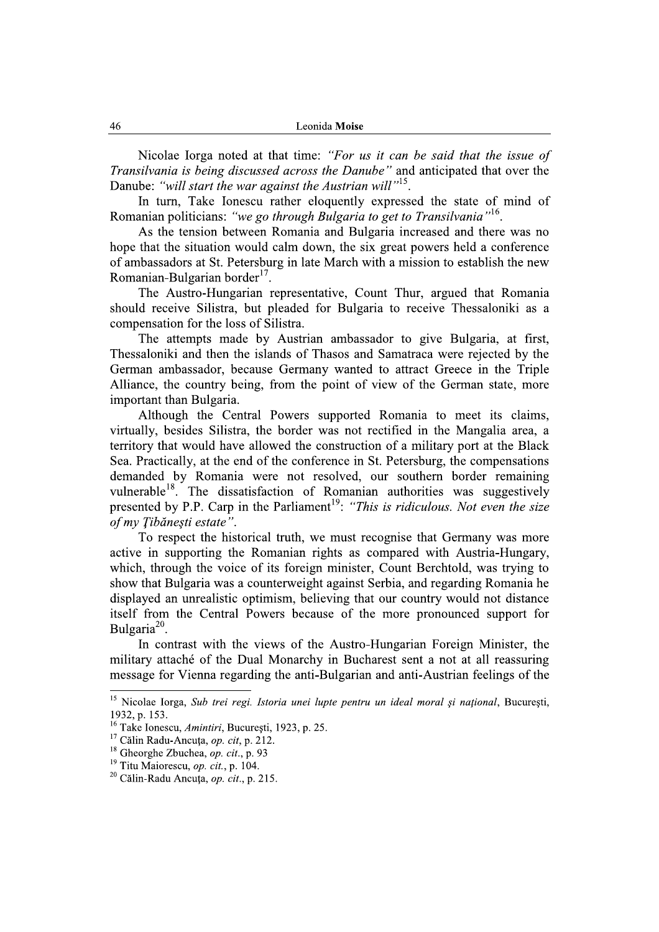Nicolae Iorga noted at that time: "For us it can be said that the issue of Transilvania is being discussed across the Danube" and anticipated that over the Danube: "will start the war against the Austrian will"<sup>15</sup>.

In turn, Take Ionescu rather eloquently expressed the state of mind of Romanian politicians: "we go through Bulgaria to get to Transilvania"<sup>16</sup>.

As the tension between Romania and Bulgaria increased and there was no hope that the situation would calm down, the six great powers held a conference of ambassadors at St. Petersburg in late March with a mission to establish the new Romanian-Bulgarian border<sup>17</sup>.

The Austro-Hungarian representative, Count Thur, argued that Romania should receive Silistra, but pleaded for Bulgaria to receive Thessaloniki as a compensation for the loss of Silistra.

The attempts made by Austrian ambassador to give Bulgaria, at first, Thessaloniki and then the islands of Thasos and Samatraca were rejected by the German ambassador, because Germany wanted to attract Greece in the Triple Alliance, the country being, from the point of view of the German state, more important than Bulgaria.

Although the Central Powers supported Romania to meet its claims, virtually, besides Silistra, the border was not rectified in the Mangalia area, a territory that would have allowed the construction of a military port at the Black Sea. Practically, at the end of the conference in St. Petersburg, the compensations demanded by Romania were not resolved, our southern border remaining vulnerable<sup>18</sup>. The dissatisfaction of Romanian authorities was suggestively presented by P.P. Carp in the Parliament<sup>19</sup>: "This is ridiculous. Not even the size of my Tibănesti estate".

To respect the historical truth, we must recognise that Germany was more active in supporting the Romanian rights as compared with Austria-Hungary. which, through the voice of its foreign minister, Count Berchtold, was trying to show that Bulgaria was a counterweight against Serbia, and regarding Romania he displayed an unrealistic optimism, believing that our country would not distance itself from the Central Powers because of the more pronounced support for Bulgaria<sup>20</sup>.

In contrast with the views of the Austro-Hungarian Foreign Minister, the military attaché of the Dual Monarchy in Bucharest sent a not at all reassuring message for Vienna regarding the anti-Bulgarian and anti-Austrian feelings of the

<sup>&</sup>lt;sup>15</sup> Nicolae Iorga, Sub trei regi. Istoria unei lupte pentru un ideal moral și național, București, 1932. p. 153.

<sup>&</sup>lt;sup>16</sup> Take Ionescu, Amintiri, București, 1923, p. 25.

<sup>&</sup>lt;sup>17</sup> Călin Radu-Ancuța, op. cit, p. 212.

<sup>&</sup>lt;sup>18</sup> Gheorghe Zbuchea, *op. cit.*, p. 93

<sup>&</sup>lt;sup>19</sup> Titu Maiorescu, *op. cit.*, p. 104.

<sup>&</sup>lt;sup>20</sup> Călin-Radu Ancuța, op. cit., p. 215.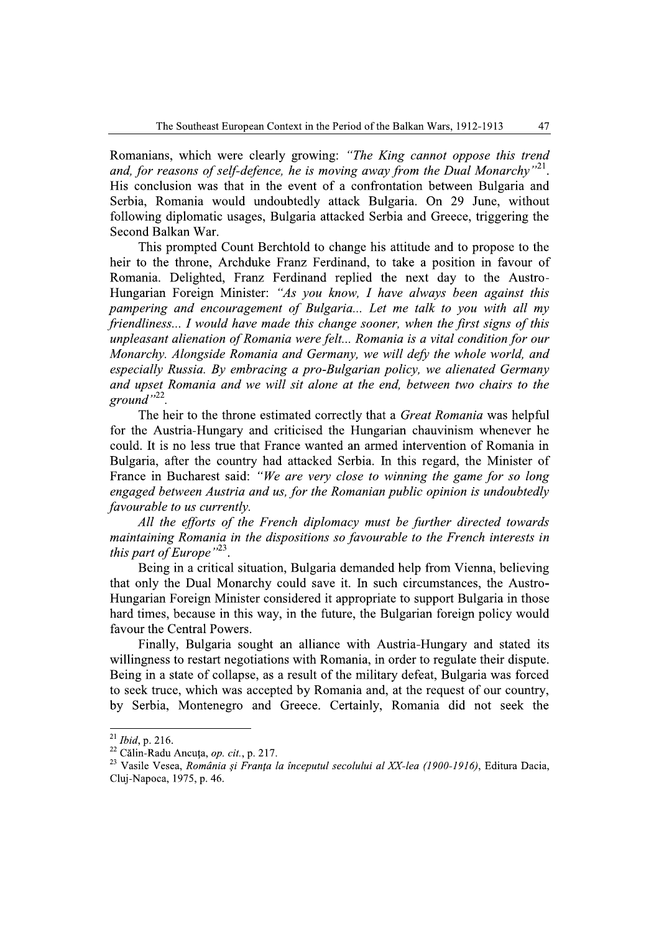Romanians, which were clearly growing: "The King cannot oppose this trend and, for reasons of self-defence, he is moving away from the Dual Monarchy"<sup>21</sup>. His conclusion was that in the event of a confrontation between Bulgaria and Serbia, Romania would undoubtedly attack Bulgaria. On 29 June, without following diplomatic usages, Bulgaria attacked Serbia and Greece, triggering the Second Balkan War.

This prompted Count Berchtold to change his attitude and to propose to the heir to the throne, Archduke Franz Ferdinand, to take a position in favour of Romania. Delighted, Franz Ferdinand replied the next day to the Austro-Hungarian Foreign Minister: "As you know, I have always been against this pampering and encouragement of Bulgaria... Let me talk to you with all my friendliness... I would have made this change sooner, when the first signs of this unpleasant alienation of Romania were felt... Romania is a vital condition for our Monarchy. Alongside Romania and Germany, we will defy the whole world, and especially Russia. By embracing a pro-Bulgarian policy, we alienated Germany and upset Romania and we will sit alone at the end, between two chairs to the ground" $^{22}$ .

The heir to the throne estimated correctly that a Great Romania was helpful for the Austria-Hungary and criticised the Hungarian chauvinism whenever he could. It is no less true that France wanted an armed intervention of Romania in Bulgaria, after the country had attacked Serbia. In this regard, the Minister of France in Bucharest said: "We are very close to winning the game for so long engaged between Austria and us, for the Romanian public opinion is undoubtedly *favourable to us currently.* 

All the efforts of the French diplomacy must be further directed towards maintaining Romania in the dispositions so favourable to the French interests in this part of Europe" $^{23}$ .

Being in a critical situation, Bulgaria demanded help from Vienna, believing that only the Dual Monarchy could save it. In such circumstances, the Austro-Hungarian Foreign Minister considered it appropriate to support Bulgaria in those hard times, because in this way, in the future, the Bulgarian foreign policy would favour the Central Powers.

Finally, Bulgaria sought an alliance with Austria-Hungary and stated its willingness to restart negotiations with Romania, in order to regulate their dispute. Being in a state of collapse, as a result of the military defeat, Bulgaria was forced to seek truce, which was accepted by Romania and, at the request of our country, by Serbia, Montenegro and Greece. Certainly, Romania did not seek the

 $^{21}$  Ibid, p. 216.

<sup>&</sup>lt;sup>22</sup> Călin-Radu Ancuța, *op. cit.*, p. 217.

<sup>&</sup>lt;sup>23</sup> Vasile Vesea, România și Franța la începutul secolului al XX-lea (1900-1916), Editura Dacia, Cluj-Napoca, 1975, p. 46.